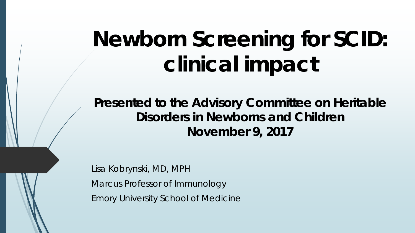## **Newborn Screening for SCID: clinical impact**

**Presented to the Advisory Committee on Heritable Disorders in Newborns and Children November 9, 2017**

*Lisa Kobrynski, MD, MPH Marcus Professor of Immunology Emory University School of Medicine*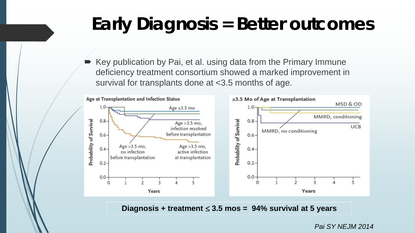## **Early Diagnosis = Better outcomes**

 Key publication by Pai, et al. using data from the Primary Immune deficiency treatment consortium showed a marked improvement in survival for transplants done at <3.5 months of age.



**Diagnosis + treatment** ≤ **3.5 mos = 94% survival at 5 years** 

*Pai SY NEJM 2014*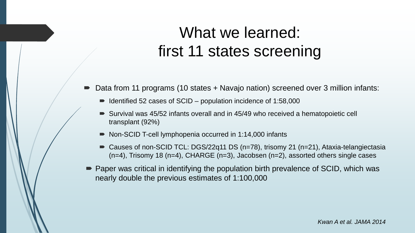### What we learned: first 11 states screening

- Data from 11 programs (10 states + Navajo nation) screened over 3 million infants:
	- $\blacksquare$  Identified 52 cases of SCID population incidence of 1:58,000
	- Survival was 45/52 infants overall and in 45/49 who received a hematopoietic cell transplant (92%)
	- Non-SCID T-cell lymphopenia occurred in 1:14,000 infants
	- Causes of non-SCID TCL: DGS/22q11 DS (n=78), trisomy 21 (n=21), Ataxia-telangiectasia (n=4), Trisomy 18 (n=4), CHARGE (n=3), Jacobsen (n=2), assorted others single cases
- Paper was critical in identifying the population birth prevalence of SCID, which was nearly double the previous estimates of 1:100,000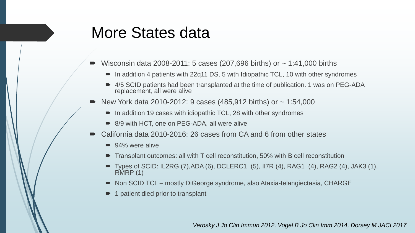#### More States data

- Wisconsin data 2008-2011: 5 cases (207,696 births) or ~ 1:41,000 births
	- $\blacksquare$  In addition 4 patients with 22q11 DS, 5 with Idiopathic TCL, 10 with other syndromes
	- 4/5 SCID patients had been transplanted at the time of publication. 1 was on PEG-ADA replacement, all were alive
- New York data 2010-2012: 9 cases  $(485, 912 \text{ births})$  or  $\sim 1:54,000$ 
	- In addition 19 cases with idiopathic TCL, 28 with other syndromes
	- 8/9 with HCT, one on PEG-ADA, all were alive
- California data 2010-2016: 26 cases from CA and 6 from other states
	- 94% were alive
	- Transplant outcomes: all with T cell reconstitution, 50% with B cell reconstitution
	- Types of SCID: IL2RG (7),ADA (6), DCLERC1 (5), Il7R (4), RAG1 (4), RAG2 (4), JAK3 (1),  $RMRP(1)$
	- Non SCID TCL mostly DiGeorge syndrome, also Ataxia-telangiectasia, CHARGE
	- 1 patient died prior to transplant

*Verbsky J Jo Clin Immun 2012, Vogel B Jo Clin Imm 2014, Dorsey M JACI 2017*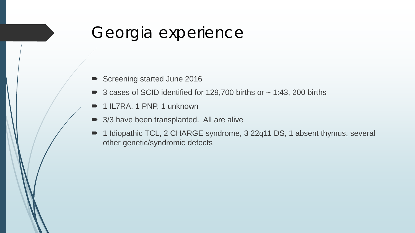#### Georgia experience

- Screening started June 2016
- $\triangleright$  3 cases of SCID identified for 129,700 births or  $\sim$  1:43, 200 births
- 1 IL7RA, 1 PNP, 1 unknown
- 3/3 have been transplanted. All are alive
- 1 Idiopathic TCL, 2 CHARGE syndrome, 3 22q11 DS, 1 absent thymus, several other genetic/syndromic defects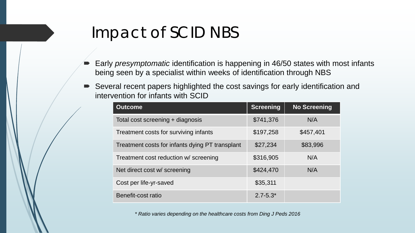#### Impact of SCID NBS

- Early *presymptomatic* identification is happening in 46/50 states with most infants being seen by a specialist within weeks of identification through NBS
- Several recent papers highlighted the cost savings for early identification and intervention for infants with SCID

| <b>Outcome</b>                                  | <b>Screening</b> | <b>No Screening</b> |
|-------------------------------------------------|------------------|---------------------|
| Total cost screening + diagnosis                | \$741,376        | N/A                 |
| Treatment costs for surviving infants           | \$197,258        | \$457,401           |
| Treatment costs for infants dying PT transplant | \$27,234         | \$83,996            |
| Treatment cost reduction w/ screening           | \$316,905        | N/A                 |
| Net direct cost w/ screening                    | \$424,470        | N/A                 |
| Cost per life-yr-saved                          | \$35,311         |                     |
| Benefit-cost ratio                              | $2.7 - 5.3*$     |                     |

*\* Ratio varies depending on the healthcare costs from Ding J Peds 2016*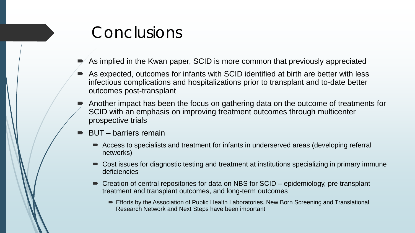#### Conclusions

- As implied in the Kwan paper, SCID is more common that previously appreciated
- As expected, outcomes for infants with SCID identified at birth are better with less infectious complications and hospitalizations prior to transplant and to-date better outcomes post-transplant
- Another impact has been the focus on gathering data on the outcome of treatments for SCID with an emphasis on improving treatment outcomes through multicenter prospective trials
- BUT barriers remain
	- Access to specialists and treatment for infants in underserved areas (developing referral networks)
	- Cost issues for diagnostic testing and treatment at institutions specializing in primary immune deficiencies
	- Creation of central repositories for data on NBS for SCID epidemiology, pre transplant treatment and transplant outcomes, and long-term outcomes
		- Efforts by the Association of Public Health Laboratories, New Born Screening and Translational Research Network and Next Steps have been important